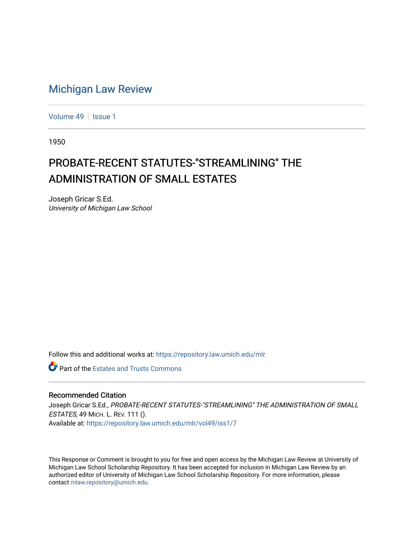# [Michigan Law Review](https://repository.law.umich.edu/mlr)

[Volume 49](https://repository.law.umich.edu/mlr/vol49) | [Issue 1](https://repository.law.umich.edu/mlr/vol49/iss1)

1950

# PROBATE-RECENT STATUTES-"STREAMLINING" THE ADMINISTRATION OF SMALL ESTATES

Joseph Gricar S.Ed. University of Michigan Law School

Follow this and additional works at: [https://repository.law.umich.edu/mlr](https://repository.law.umich.edu/mlr?utm_source=repository.law.umich.edu%2Fmlr%2Fvol49%2Fiss1%2F7&utm_medium=PDF&utm_campaign=PDFCoverPages) 

**C** Part of the Estates and Trusts Commons

### Recommended Citation

Joseph Gricar S.Ed., PROBATE-RECENT STATUTES-"STREAMLINING'' THE ADMINISTRATION OF SMALL ESTATES, 49 MICH. L. REV. 111 (). Available at: [https://repository.law.umich.edu/mlr/vol49/iss1/7](https://repository.law.umich.edu/mlr/vol49/iss1/7?utm_source=repository.law.umich.edu%2Fmlr%2Fvol49%2Fiss1%2F7&utm_medium=PDF&utm_campaign=PDFCoverPages)

This Response or Comment is brought to you for free and open access by the Michigan Law Review at University of Michigan Law School Scholarship Repository. It has been accepted for inclusion in Michigan Law Review by an authorized editor of University of Michigan Law School Scholarship Repository. For more information, please contact [mlaw.repository@umich.edu](mailto:mlaw.repository@umich.edu).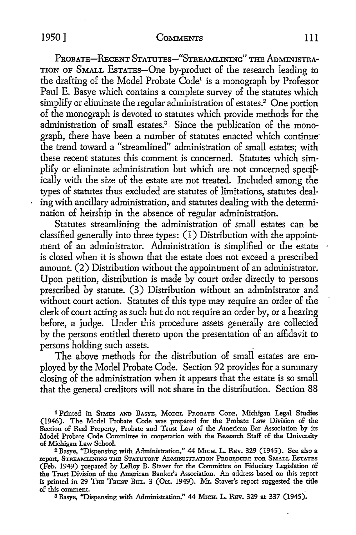## 1950] COMMENTS 111

PROBATE-RECENT STATUTES-"STREAMLINING" THE ADMINISTRA-TION OF SMALL EsTATEs-One by-product of the research leading to the drafting of the Model Probate Code<sup>t</sup> is a monograph by Professor Paul E. Basye which contains a complete survey of the statutes which simplify or eliminate the regular administration of estates.<sup>2</sup> One portion of the monograph is devoted to statutes which provide methods for the administration of small estates. 3 . Since the publication of the monograph, there have been a number of statutes enacted which continue· the trend toward a "streamlined" administration of small estates; with these recent statutes this comment is concerned. Statutes which simplify or eliminate administration but which are not concerned specifically with the size of the estate are not treated. Included among the types of statutes thus excluded are statutes of limitations, statutes dealing with ancillary administration, and statutes dealing with the determination of heirship in the absence of regular administration.

Statutes streamlining the administration of small estates can be classified generally into three types: (I) Distribution with the appointment of an administrator. Administration is simplified or the estate is closed when it is shown that the estate does not exceed a prescribed amount. (2) Distribution without the appointment of an administrator. Upon petition, distribution is made by court order directly *to* persons prescribed by statute. (3) Distribution without an administrator and without court action. Statutes of this type may require an order of the clerk of court acting as such but do not require an order by, or a hearing before, a judge. Under this procedure assets generally are collected by the persons entitled thereto upon the presentation of an affidavit to persons holding such assets. .

The above methods for the distribution of small estates are employed by the Model Probate Code. Section 92 provides for a summary closing of the administration when it appears that the estate is so small that the general creditors will not share in the distribution. Section 88

1 Printed in SIMES AND BASYE, MODEL PROBATE CODE, Michigan Legal Studies (1946). The Model Probate Code was prepared for the Probate Law Division of the Section of Real Property, Probate and Trust Law of the American Bar Association by its Model Probate Code Committee in cooperation with the Research Staff of the University of Michigan Law School.

<sup>2</sup> Basye, "Dispensing with Administration," 44 MICH. L. REv. 329 (1945). See also a TEPOIT, STREAMLINING THE STATUTORY ADMINISTRATION PROCEDURE FOR SMALL ESTATES (Feb. 1949) prepared by LeRoy B. Staver for the Committee on Fiduciary Legislation of the Trust Division of the American Banker's Association. An address based on this report is printed in 29 THE TRUST BuL. 3 (Oct. 1949). Mr. Staver's report suggested the title of this comment.

s Basye, "Dispensing with Administration," 44 MICH. L. RBv. 329 at 337 (1945).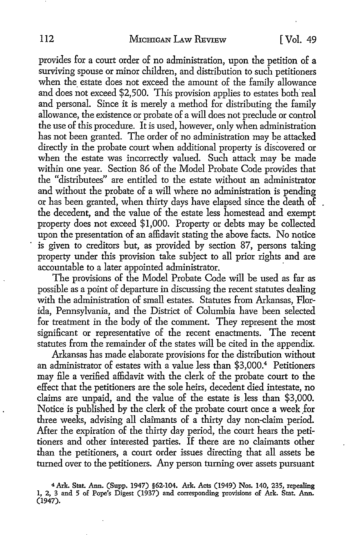provides for a court order of no administration, upon the petition of a surviving spouse or minor children, and distribution to such petitioners when the estate does not exceed the amount of the family allowance and does not exceed \$2,500. This provision applies to estates both real and personal. Since it is merely a method for distributing the family allowance, the existence or probate of a will does not preclude or control the use of this procedure. It is used, however, only when administration has not been granted. The order of no administration may be attacked directly in the probate court when additional property is discovered or when the estate was incorrectly valued. Such attack may be made within one year. Section 86 of the Model Probate Code provides that the "distributees" are entitled to the estate without an administrator and without the probate of a will where no administration is pending or has been granted, when thirty days have elapsed since the death of the decedent, and the value of the estate less homestead and exempt property does not exceed \$1,000. Property or debts may be collected upon the presentation of an affidavit stating the above facts. No notice is given to creditors but, as provided by section 87, persons taking property under this provision take subject to all prior rights and are accountable to a later appointed administrator.

The provisions of the Model Probate Code will be used as far as possible as a point of departure in discussing the recent statutes dealing with the administration of small estates. Statutes from Arkansas, Florida, Pennsylvania, and the District of Columbia have been selected for treatment in the body of the comment. They represent the most significant or representative of the recent enactments. The recent statutes from the remainder of the states will be cited in the appendix.

Arkansas has made elaborate provisions for the distribution without an administrator of estates with a value less than \$3,000.<sup>4</sup> Petitioners may file a verified affidavit with the clerk of the probate court to the effect that the petitioners are the sole heirs, decedent died intestate, **no**  claims are unpaid, and the value of the estate is. less than \$3,000. Notice is published by the clerk of the probate court once a week \_for three weeks, advising all claimants of a thirty day non-claim period. After the expiration of the thirty day period, the court hears the petitioners and other interested parties. If there are no claimants other than the petitioners, a court order issues directing that all assets be turned over to the petitioners. Any person turning over assets pursuant

**<sup>4</sup>Ark. Stat. Ann. (Supp. 1947) §62-104. Ark. Acts (1949) Nos. 140, 235, repealing**  1, 2, 3 and 5 of Pope's Digest (1937) and corresponding provisions of Ark. Stat. Ann. **(1947).**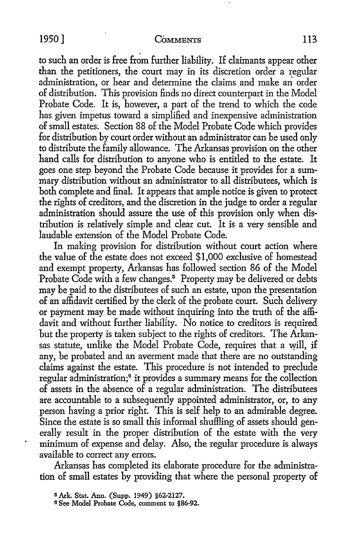#### 1950] COMMENTS 113

to such an order is free from further liability. If claimants appear other than the petitioners, the court may in its discretion order a regular administration, or hear and determine the claims and make an order of distribution. This provision finds no direct counterpart in the Model Probate Code. It is, however, a part of the trend *to* which the code has given impetus toward a simplified and inexpensive administration of small estates. Section 88 of the Model Probate Code which provides for distribution by court order without an administrator can be used only to distribute the family allowance. The Arkansas provision on the other hand calls for distribution to anyone who is entitled *to* the estate. It goes one step beyond the Probate Code because it provides for a summary distribution without an administrator to all distributees, which is both complete and final. It appears that ample notice is given to protect the rights of creditors, and the discretion in the judge to order a regular administration should assure the use of this provision only when distribution is relatively simple and clear cut. It is a very sensible and laudable extension of the Model Probate Code.

In making provision for distribution without court action where the value of the estate does not exceed \$1,000 exclusive of homestead and exempt property, Arkansas has followed section 86 of the Model Probate Code with a few changes.<sup>5</sup> Property may be delivered or debts may be paid *to* the distributees of such an estate, upon the presentation of an affidavit certified by the clerk of the probate court. Such delivery or payment may be made without inquiring into the truth of the affidavit and without further liability. No notice *to* creditors is required but the property is taken subject to the rights of creditors. The Arkansas statute, unlike the Model Probate Code, requires that a will, if any, be probated and an averment made that there are no outstanding claims against the estate. This procedure is not intended *to* preclude regular administration;<sup>6</sup> it provides a summary means for the collection of assets in the absence of a regular administration. The distributees are accountable to a subsequently appointed administrator, or, to any person having a prior right. This is self help *to* an admirable degree. Since the estate is so small this informal shuffling of assets should generally result in the proper distribution of the estate with the very minimum of expense and delay. Also, the regular procedure is always available *to* correct any errors.

Arkansas has completed its elaborate procedure for the administration of small *estates* by providing that where the personal property of

<sup>&</sup>lt;sup>5</sup> Ark. Stat. Ann. (Supp. 1949) §62-2127. 6 See Model Probate Code, comment to §86-92.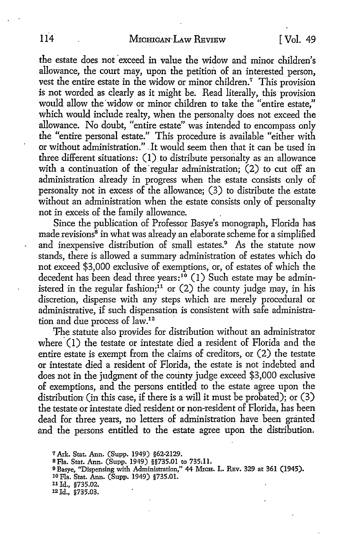the estate does not exceed in value the widow and minor children's allowance, the court may, upon the petition of an interested person, vest the entire estate in the widow or minor children.<sup>7</sup> This provision is not worded as clearly as it might be. Read literally, this provision would allow the'widow or minor children to take the "entire estate," which would include realty, when the personalty does not exceed the allowance. No doubt, "entire estate" was intended to encompass only the "entire personal estate." This procedure is available "either with or without administration." . It would seem then that it can be used in three different situations: (I) to distribute personalty as an allowance with a continuation of the regular administration;  $(2)$  to cut off an administration already in progress when the estate consists only of personalty not in excess of the allowance; (3) to distribute the estate without an administration when the estate consists only of personalty not in excess of the family allowance. .

Since the publication of Professor Basye's monograph, Florida has made revisions<sup>8</sup> in what was already an elaborate scheme for a simplified and inexpensive distribution of small estates.<sup>9</sup> As the statute now stands, there is allowed a summary administration of estates which do not exceed \$3,000 exclusive of exemptions, or, of estates of which the decedent has been dead three years:<sup>10</sup> (1) Such estate may be administered in the regular fashion;<sup>11</sup> or  $(2)$  the county judge may, in his discretion, dispense with any steps which are merely procedural or administrative, if such dispensation is consistent with safe administration and due process of law.<sup>12</sup>

The statute also provides for distribution without an administrator where  $(1)$  the testate or intestate died a resident of Florida and the entire estate is exempt from the claims of creditors, or (2) the testate or intestate died a resident of Florida, the estate is not indebted and does not in the judgment of the county judge exceed \$3,000 exclusive of exemptions, and the persons entitled to the estate agree upon the distribution (in this case, if there is a will it must be probated); or (3) the testate or intestate died resident or non-resident of Florida, has been dead for three years, no letters of administration have been granted and the persons entitled to the estate agree upon the distribution.

Ark. Stat. Ann. (Supp. 1949) §62-2129. Fla. Stat. Ann. (Supp. 1949) §§735.01 to 735~11. 9 Basye, "Dispensing with Administration," 44 MICH. L. REV. 329 at 361 (1945). 10 Fla. Stat. Ann. (Supp. 1949) §735.01. Id., §735.02. Id., §735.03.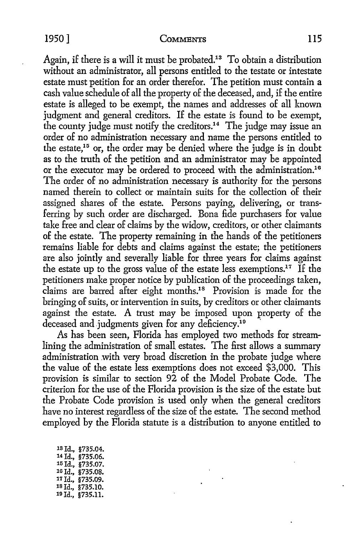Again, if there is a will it must be probated.13 To obtain a distribution without an administrator, all persons entitled to the testate or intestate estate must petition for an order therefor. The petition must contain a cash value schedule of all the property of the deceased, and, if the entire estate is alleged to be exempt, the names and addresses of all known judgment and general creditors. If the estate is found to be exempt, the county judge must notify the creditors.<sup>14</sup> The judge may issue an order of no administration necessary and name the persons entitled to the estate,<sup>15</sup> or, the order may be denied where the judge is in doubt as to the truth of the petition and an administrator may be appointed or the executor may be ordered *to* proceed with the administration.10 The order of no administration necessary is authority for the persons named therein to collect or maintain suits for the collection of their assigned shares of the estate. Persons paying, delivering, or transferring by such order are discharged. Bona fide purchasers for value take free and clear of claims by the widow, creditors, or other claimants of the estate. The property remaining in the hands of the petitioners remains liable for debts and claims against the estate; the petitioners are also jointly and severally liable for three years for claims against the estate up *to* the gross value of the estate less exemptions.17 If the petitioners make proper notice by publication of the proceedings taken, claims are barred after eight months.18 Provision is made for the bringing of suits, or intervention in suits, by creditors or other claimants against the estate. A trust may be imposed upon property of the deceased and judgments given for any deficiency.<sup>10</sup>

As has been seen, Florida has employed two methods for streamlining the administration of small estates. The first allows a summary administration .with very broad discretion in the probate judge where the value of the estate less exemptions does not exceed \$3,000. This provision is similar *to* section 92 of the Model Probate Code. The criterion for the use of the Florida provision is the size of the estate but the Probate Code provision is used only when the general creditors have no interest regardless of the size of the estate. The second method employed by the Florida statute is a distribution to anyone entitled *to* 

| <sup>13</sup> Id., | \$735.04. |
|--------------------|-----------|
| 14 Id.,            | \$735.06. |
| 15 Id.,            | \$735.07. |
| 16 Id.,            | §735.08.  |
| 17 Id.,            | \$735.09. |
| 18 Id.,            | \$735.10. |
| 19 Id.,            | \$735.11. |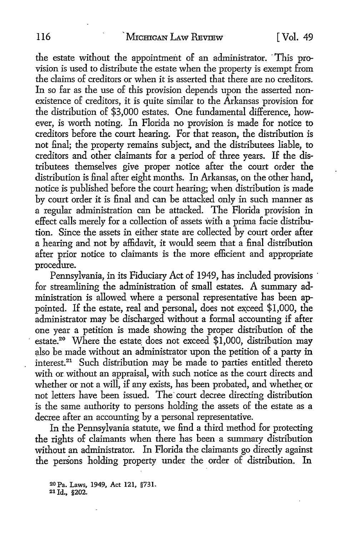the estate without the appointment of an administrator. · This provision is used to distribute the estate when the property is exempt from the claims of creditors or when it is asserted that there are no creditors. In so far as the use of this provision depends upon the asserted nonexistence of creditors, it is quite similar to the Arkansas provision for the distribution of \$3,000 estates. One fundamental difference, however, is worth noting. In Florida no provision is made for notice to creditors before the court hearing. For that reason, the distribution is not final; the property remains subject, and the distributees liable, to creditors and other claimants for a period of three years. If the distributees themselves give proper notice after the court order the distribution is final after eight months. In Arkansas, on the other hand, notice is published before the court hearing; when distribution is made by court order it is final and can be attacked only in such manner as a regular administration can be attacked. The Florida provision **in**  effect calls merely for a collection of assets with a prima facie distribution. Since the assets in either state are collected by court order after a hearing and not by affidavit, it would seem that a final distribution after prior notice to claimants is the more efficient and appropriate procedure.

Pennsylvania, in its Fiduciary Act of 1949, has included provisions · for streamlining the administration of small estates. A summary administration is allowed where a personal representative has been appointed. If the estate, real and personal, does not exceed \$1,000, the administrator may be discharged without a formal accounting if after one year a petition is made showing the proper distribution of the estate.<sup>20</sup> Where the estate does not exceed  $$1,000$ , distribution may also be made without an administrator upon the petition of a party in interest.21 Such distribution may be made to parties entitled thereto with or without an appraisal, with such notice as the court directs and whether or not a will, if any exists, has been probated, and whether or not letters have been issued. The· court decree directing distribution is the same authority to persons holding the assets of the estate as a decree after an accounting by a personal representative.

In the Pennsylvania statute, we find a third method for protecting the rights of claimants when there has been a summary distribution without an administrator. In Florida the claimants go directly against the persons holding property under the order of distribution. In

20 Pa. Laws, 1949, Act 121, §731. 21 Id., §202.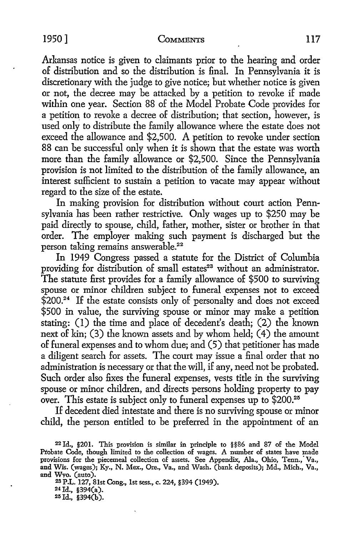Arkansas notice is given *to* claimants prior *to* the hearing and order of distribution and so the distribution is final. In Pennsylvania it is discretionary with the judge *to* give notice; but whether notice is given or not, the decree may be attacked by a petition *to* revoke if made within one year. Section 88 of the Model Probate Code provides for a petition to revoke a decree of distribution; that section, however, is used only *to* distribute the family allowance where the estate does not exceed the allowance and \$2,500. A petition to revoke under section 88 can be successful only when it is shown that the estate was worth more than the family allowance or \$2,500. Since the Pennsylvania provision is not limited to the distribution of the family allowance, an interest sufficient *to* sustain a petition *to* vacate may appear without regard *to* the size of the estate.

In making provision for distribution without court action Pennsylvania has been rather restrictive. Only wages up *to* \$250 may be paid directly *to* spouse, child, father, mother, sister or brother in that order. The employer making such payment is discharged but the person taking remains answerable.<sup>22</sup>

In 1949 Congress passed a statute for the District of Columbia providing for distribution of small estates<sup>23</sup> without an administrator. The statute first provides for a family allowance of \$500 *to* surviving spouse or minor children subject *to* funeral expenses not *to* exceed \$200.24 If the estate consists only of personalty and does not exceed \$500 in value, the surviving spouse or minor may make a petition stating: (I) the time and place of decedent's death; (2) the known next of kin; (3) the known assets and by whom held; (4) the amount of funeral expenses and to whom due; and (5) that petitioner has made a diligent search for assets. The court may issue a final order that no administration is necessary or that the will, if any, need not be probated. Such order also fixes the funeral expenses, vests title in the surviving spouse or minor children, and directs persons holding property *to* pay over. This estate is subject only *to* funeral expenses up to \$200.25

If decedent died intestate and there is no surviving spouse or minor child, the person entitled *to* be preferred in the appointment of an

23 P.L. 127, 81st Cong., 1st sess., c. 224, §394 (1949).

24 Id., §394(a).

 $25$  Id., §394(b).

<sup>22</sup> Id., §201. This provision is similar in principle to §§86 and 87 of the Model Probate Code, though limited to the collection of wages. A nwnber of states have made provisions for the piecemeal collection of assets. See Appendix, Ala., Ohio, Tenn.,· Va., and Wis. (wages); Ky., N. Mex., Ore., Va., and Wash. (bank deposits); Md., Mich., Va., and Wvo. (auto).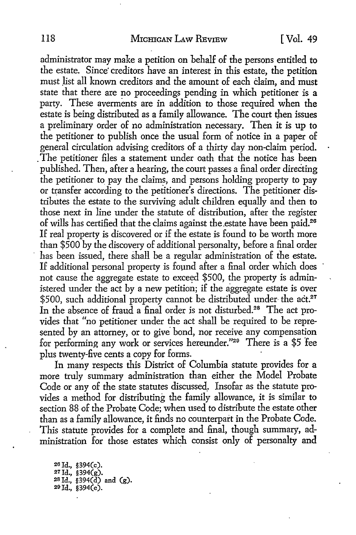administrator may make a petition on behalf of the persons entitled to the estate. Since' creditors have an interest in this estate, the petition must list all known creditors and the amount of each claim, and must state that there are no proceedings pending in which petitioner is a party. These averments are in addition to those required when the estate is being distributed as a family allowance. The court then issues a preliminary order of no administration necessary. Then it is up to the petitioner to publish once the usual form of notice in a paper of general circulation advising creditors of a thirty day non-claim period. . The petitioner files a statement under oath that the notice has been published. Then, after a hearing, the court passes a final order directing the petitioner to pay the claims, and persons holding property to pay or transfer according to the petitioner's directions. The petitioner distributes the estate to the surviving adult children equally and then to those next in line under the statute of distribution, after the register of wills has certified that the claims against the .estate have been paid.26 If real property is discovered or if the estate is found to be worth more than \$500 by the discovery of additional personalty, before a final order has been issued, there shall be a regular administration of the estate. If additional personal property is found after a final order which does not cause the aggregate estate to exceed \$500, the property is administered under the act by a new petition; if the aggregate estate is over \$500, such additional property cannot be distributed under the act.<sup>27</sup> In the absence of fraud a final order is not disturbed.<sup>28</sup> The act provides that "no petitioner under the act shall be required to be represented by an attorney, or to give bond, nor receive any compensation for performing any work or services hereunder."20 There is a \$5 fee plus twenty-five cents a copy for forms.

In many respects this District of Columbia statute provides for a more truly summary administration than either the Model Probate Code or any of the state statutes discussed. Insofar as the statute provides a method for distributing the family allowance, it is similar to section 88 of the Probate Code; when used to distribute the estate other than as a family allowance, it finds no counterpart in the Probate Code. This statute provides for a complete and final, though summary, administration for those estates which consist only of personalty and

20 Id., §394(c). Id., §394(g). Id.,  $$394(\tilde{d})$  and  $(g)$ . Id., §394 $(e)$ .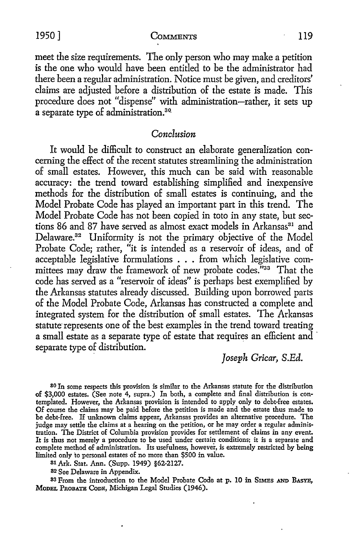1950] COMMENTS 119

meet the size requirements. The only person who may make a petition is the one who would have been entitled to be the administrator had there been a regular administration. Notice must be given, and creditors' claims are adjusted before a distribution of the estate is made. This procedure does not "dispense" with administration-rather, it sets up a separate type of administration.<sup>30</sup>

#### *Conclusion*

It would be difficult to construct an elaborate generalization concerning the effect of the recent statutes streamlining the administration of small estates. However, this much can be said with reasonable accuracy: the trend toward establishing simplified and inexpensive methods for the distribution of small estates is continuing, and the Model Probate Code has played an important part in this trend. The Model Probate Code has not been copied in toto in any state, but sections 86 and 87 have served as almost exact models in Arkansas<sup>31</sup> and Delaware.<sup>32</sup> Uniformity is not the primary objective of the Model Probate Code; rather, "it is intended as a reservoir of ideas, and of acceptable legislative formulations . . . from which legislative committees may draw the framework of new probate codes."33 That the code has served as a "reservoir of ideas" is perhaps best exemplified by the Arkansas statutes already discussed. Building upon borrowed parts of the Model Probate Code, Arkansas has constructed a complete and integrated system for the distribution of small estates. The Arkansas statute represents one of the best examples in the trend toward treating a small estate as a separate type of estate that requires an efficient and · separate type of distribution.

## *Joseph Gricar, S.Ed.*

80 In some respects this provision is similar to the Arkansas statute for the distribution **of** \$3,000 estates. (See note 4, supra.) In both, a complete and final distribution is contemplated. However, the Arkansas provision is intended to apply only to debt-free estates. Of course the claims may be paid before the petition is made and the estate thus made to be debt-free. H unknown claims appear, Arkansas provides an alternative procedure. The judge may settle the claims at a hearing on the petition, or he may order a regular administration. The District of Columbia provision provides for settlement of claims in any event. It is thus not merely a procedure to be used under certain conditions; it is a separate and complete method of administration. Its usefulness, however, is extremely restricted by being limited only to personal estates of no more than \$500 in value.

81 Ark. Stat. Ann. (Supp. 1949) §62-2127.

82 See Delaware in Appendix.

83 From the introduction to the Model Probate Code at p. 10 in SIMES AND BASYE, MoDEL PROBATE CODE, Michigan Legal Studies (1946).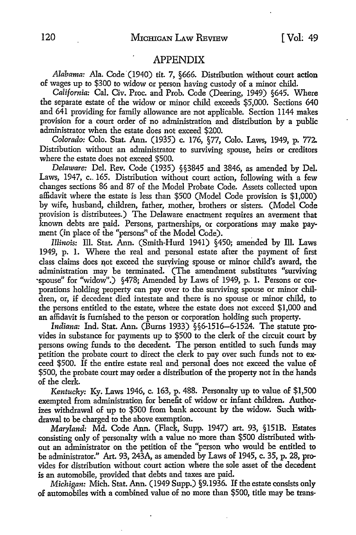#### APPENDIX

Alabama: Ala. Code (1940) tit. 7, §666. Distribution without court action of wages up to \$300 to widow or person having custody of a minor child.

*California:* Cal. Civ. Proc. and Prob. Code (Deering, 1949) §645. Where the separate estate of the widow or minor child exceeds \$5,000. Sections 640 and 641 providing for family allowance are not applicable. Section 1144 makes provision for a court order of no administration and distribution by a public administrator when the estate does not exceed \$200.

*Colorado:* Colo. Stat. Ann. (1935) c. 176, §77, Colo. Laws, 1949, p. 772. Distribution without an administrator to surviving spouse, heirs or creditors where the estate does not exceed \$500.

*Delaware:* Del. Rev. Code (1935) §§3845 and 3846, as amended by Del. Laws, 1947, c. 165. Distribution without court action, following with a few changes sections 86 and 87 of the Model Probate Code. Assets collected upon affidavit where the estate is less than \$500 (Model Code provision is \$1,000) by wife, husband, children, father, mother, brothers or sisters. (Model Code provision is distributees.) The Delaware enactment requires an averment that known debts are paid. Persons, partnerships, or corporations may make payment (in place of the "persons" of the Model Code).

*Illinois:* Ill. Stat. Ann. (Smith-Hurd 1941) §450; amended by Ill. Laws 1949, p. I. Where the real and personal estate after the payment of first class claims does not exceed the surviving spouse or minor child's award, the administration may be terminated. (The amendment substitutes "surviving ·spouse" for "widow".) §478; Amended by Laws of 1949, p. I. Persons or corporations holding property can pay over to the surviving spouse or minor children, or, if decedent died intestate and there is no spouse or minor child, to the persons entitled to the estate, where the estate does not exceed \$1,000 and an affidavit is furnished to the person or corporation holding such property.

*Indiana:* Ind. Stat. Ann. (Bums 1933) §§6-1516-6-1524. The statute provides in substance for payments up to \$500 to the clerk of the circuit court by persons owing funds to the decedent. The person entitled to such funds may petition the probate court to direct the clerk to pay over such funds not to exceed \$500. If the entire estate real and personal does not exceed the value of \$500, the probate court may order a distribution of the property not in the hands of the clerk.

*Kentucky:* Ky. Laws 1946, c. 163, p. 488. Personalty up to value of \$1,500 exempted from administration for benefit of widow or infant children. Authorizes withdrawal of up to \$500 from bank account by the widow. Such withdrawal to be charged to the above exemption.

*Maryland: Md. Code Ann. (Flack, Supp. 1947) art. 93, §151B. Estates* consisting only of personalty with a value no more than \$500 distributed with• out an administrator on the petition of the "person who would be entitled to be administrator." Art. 93, 243A, as amended by Laws of 1945, c. 35, p. 28, provides for distribution without court action where the sole asset of the decedent is an automobile, provided that debts and taxes are paid.

*Michigan:* Mich. Stat. Ann. (1949 Supp.) §9.1936. If the estate consists only of automobiles with a combined value of no more than \$500, title may be trans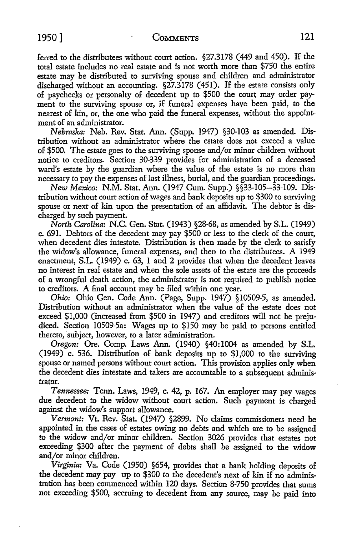ferred to the distributees without court action. §27.3178 (449 and 450). If the total estate includes no real estate and is not worth more than \$750 the entire estate may be distributed to surviving spouse and children and administrator discharged without an accounting. §27.3178 (451). If the estate consists only of paychecks or personalty of decedent up to \$500 the court may order payment to the surviving spouse or, if funeral expenses have been paid, to the nearest of kin, or, the one who paid the funeral expenses, without the appointment of an administrator.

*Nebraska:* Neb. Rev. Stat. Ann. (Supp. 1947) §30-103 as amended. Distribution without an administrator where the estate does not exceed a value of \$500. The estate goes to the surviving spouse and/or minor children vvithout notice to creditors. Section 30-339 provides for administration of a deceased ward's estate by the guardian where the value of the estate is no more than necessary to pay the expenses of last illness, burial, and the guardian proceedings.

*New Mexico:* N.M. Stat. Ann. (1947 Cum. Supp.) §§33-105-33-109. Distribution without court action of wages and bank deposits up to \$300 to surviving spouse or next of kin upon the presentation of an affidavit. The debtor is discharged by such payment.

*North Carolina:* N.C. Gen. Stat. (1943) §28-68, as amended by S.L. (1949) c. 691. Debtors of the decedent may pay \$500 or less to the clerk of the court, when decedent dies intestate. Distribution is then made by the clerk to satisfy the widow's allowance, funeral expenses, and then to the distributees. A 1949 enactment, S.L. (1949) c. 63, 1 and 2 provides that when the decedent leaves no interest in real estate and when the sole assets of the estate are the proceeds of a wrongful death action, the administrator is not required to publish notice to creditors. A final account may be filed within one year.

*Ohio:* Ohio Gen. Code Ann. (Page, Supp. 1947) § 10509-5, as amended. Distribution without an administrator when the value of the estate does not exceed \$1,000 (increased from \$500 in 1947) and creditors will not be prejudiced. Section 10509-5a: Wages up to \$150 may be paid to persons entitled thereto, subject, however, to a later administration.

*Oregon:* Ore. Comp. Laws Ann. (1940) §40: 1004 as amended by S.L. (1949) c. 536. Distribution of bank deposits up to \$1,000 to the surviving spouse or named persons without court action. This provision applies only when the decedent dies intestate and takers are accountable to a subsequent administrator.

*Tennessee:* Tenn. Laws, 1949, c. 42, p. 167. An employer may pay wages due decedent to the widow without court action. Such payment is charged against the widow's support allowance.

*Vermont:* Vt. Rev. Stat. (1947) §2899. No claims commissioners need be appointed in the cases of estates owing no debts and which are to be assigned to the widow and/or minor children. Section 3026 provides that estates not exceeding \$300 after the payment of debts shall be assigned to the widow and/or minor children.

*Virginia:* Va. Code (1950) §654, provides that a bank holding deposits of the decedent may pay up to \$300 to the decedent's next of kin if no administration has been commenced within 120 days. Section 8-750 provides that sums not exceeding \$500, accruing to decedent from any source, may be paid into